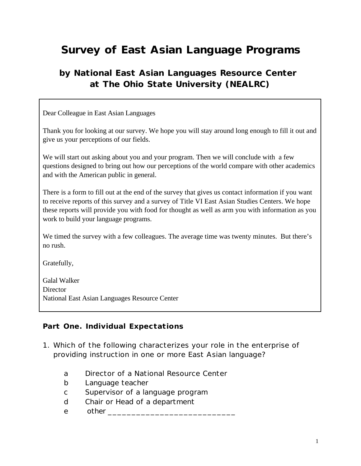# **Survey of East Asian Language Programs**

## **by National East Asian Languages Resource Center at The Ohio State University (NEALRC)**

Dear Colleague in East Asian Languages

Thank you for looking at our survey. We hope you will stay around long enough to fill it out and give us your perceptions of our fields.

We will start out asking about you and your program. Then we will conclude with a few questions designed to bring out how our perceptions of the world compare with other academics and with the American public in general.

There is a form to fill out at the end of the survey that gives us contact information if you want to receive reports of this survey and a survey of Title VI East Asian Studies Centers. We hope these reports will provide you with food for thought as well as arm you with information as you work to build your language programs.

We timed the survey with a few colleagues. The average time was twenty minutes. But there's no rush.

Gratefully,

Galal Walker **Director** National East Asian Languages Resource Center

#### *Part One. Individual Expectations*

- 1. Which of the following characterizes your role in the enterprise of providing instruction in one or more East Asian language?
	- a Director of a National Resource Center
	- b Language teacher
	- c Supervisor of a language program
	- d Chair or Head of a department
	- e other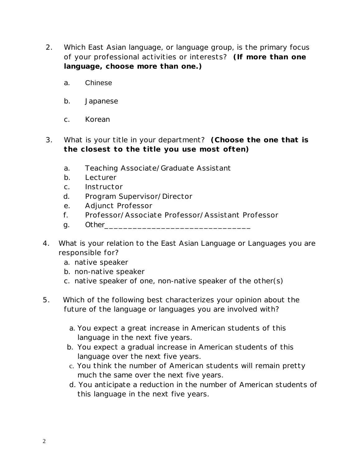- 2. Which East Asian language, or language group, is the primary focus of your professional activities or interests? *(If more than one language, choose more than one.)*
	- a. Chinese
	- b. Japanese
	- c. Korean
- 3. What is your title in your department? *(Choose the one that is the closest to the title you use most often)*
	- a. Teaching Associate/Graduate Assistant
	- b. Lecturer
	- c. Instructor
	- d. Program Supervisor/Director
	- e. Adjunct Professor
	- f. Professor/Associate Professor/Assistant Professor
	- g. Other\_\_\_\_\_\_\_\_\_\_\_\_\_\_\_\_\_\_\_\_\_\_\_\_\_\_\_\_\_\_\_
- 4. What is your relation to the East Asian Language or Languages you are responsible for?
	- a. native speaker
	- b. non-native speaker
	- c. native speaker of one, non-native speaker of the other(s)
- 5. Which of the following best characterizes your opinion about the future of the language or languages you are involved with?
	- a. You expect a great increase in American students of this language in the next five years.
	- b. You expect a gradual increase in American students of this language over the next five years.
	- c. You think the number of American students will remain pretty much the same over the next five years.
	- d. You anticipate a reduction in the number of American students of this language in the next five years.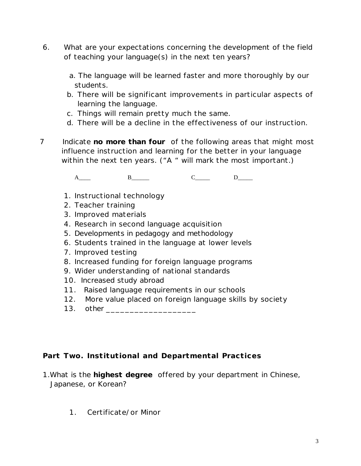- 6. What are your expectations concerning the development of the field of teaching your language(s) in the next ten years?
	- a. The language will be learned faster and more thoroughly by our students.
	- b. There will be significant improvements in particular aspects of learning the language.
	- c. Things will remain pretty much the same.
	- d. There will be a decline in the effectiveness of our instruction.
- 7 Indicate **no more than four** of the following areas that might most influence instruction and learning for the better in your language within the next ten years. ("A " will mark the most important.)

A\_\_\_\_ B\_\_\_\_ C\_\_\_ D\_\_\_

- 1. Instructional technology
- 2. Teacher training
- 3. Improved materials
- 4. Research in second language acquisition
- 5. Developments in pedagogy and methodology
- 6. Students trained in the language at lower levels
- 7. Improved testing
- 8. Increased funding for foreign language programs
- 9. Wider understanding of national standards
- 10. Increased study abroad
- 11. Raised language requirements in our schools
- 12. More value placed on foreign language skills by society
- 13. other **contains the container of the container**

#### *Part Two. Institutional and Departmental Practices*

- 1.What is the **highest degree** offered by your department in Chinese, Japanese, or Korean?
	- 1. Certificate/or Minor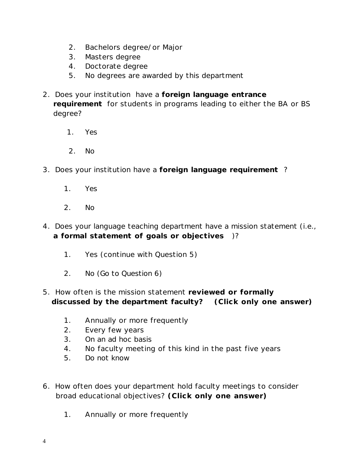- 2. Bachelors degree/or Major
- 3. Masters degree
- 4. Doctorate degree
- 5. No degrees are awarded by this department
- 2. Does your institution have a **foreign language entrance requirement** for students in programs leading to either the BA or BS degree?
	- 1. Yes
	- 2. No
- 3. Does your institution have a **foreign language requirement** ?
	- 1. Yes
	- 2. No
- 4. Does your language teaching department have a mission statement (i.e., **a formal statement of goals or objectives** )?
	- 1. Yes (continue with Question 5)
	- 2. No (Go to Question 6)
- 5. How often is the mission statement **reviewed or formally discussed by the department faculty?** *(Click only one* **answer)**
	- 1. Annually or more frequently
	- 2. Every few years
	- 3. On an ad hoc basis
	- 4. No faculty meeting of this kind in the past five years
	- 5. Do not know
- 6. How often does your department hold faculty meetings to consider broad educational objectives? *(Click only one answer)*
	- 1. Annually or more frequently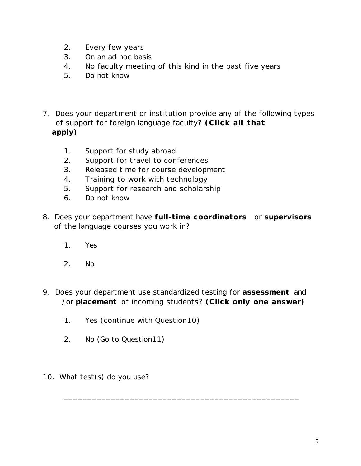- 2. Every few years
- 3. On an ad hoc basis
- 4. No faculty meeting of this kind in the past five years
- 5. Do not know
- 7. Does your department or institution provide any of the following types of support for foreign language faculty? *(Click all that apply)*
	- 1. Support for study abroad
	- 2. Support for travel to conferences
	- 3. Released time for course development
	- 4. Training to work with technology
	- 5. Support for research and scholarship
	- 6. Do not know
- 8. Does your department have **full-time coordinators** or **supervisors** of the language courses you work in?
	- 1. Yes
	- 2. No
- 9. Does your department use standardized testing for **assessment** and /or **placement** of incoming students? *(Click only one answer)*

\_\_\_\_\_\_\_\_\_\_\_\_\_\_\_\_\_\_\_\_\_\_\_\_\_\_\_\_\_\_\_\_\_\_\_\_\_\_\_\_\_\_\_\_\_\_\_\_\_\_

- 1. Yes (continue with Question10)
- 2. No (Go to Question11)
- 10. What test(s) do you use?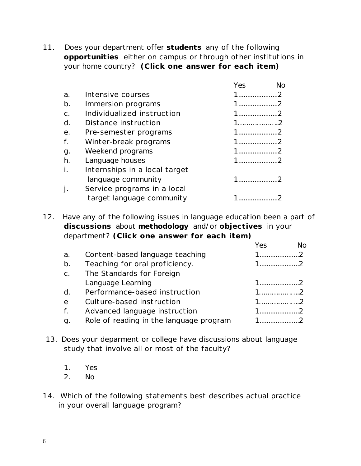11. Does your department offer **students** any of the following **opportunities** either on campus or through other institutions in your home country? *(Click one answer for each item)*

|                               | Yes | NΩ |
|-------------------------------|-----|----|
| Intensive courses             |     |    |
| Immersion programs            |     |    |
| Individualized instruction    |     |    |
| Distance instruction          | 1.  |    |
| Pre-semester programs         |     |    |
| Winter-break programs         |     |    |
| Weekend programs              |     |    |
| Language houses               |     |    |
| Internships in a local target |     |    |
| language community            |     |    |
| Service programs in a local   |     |    |
| target language community     |     |    |
|                               |     |    |

12. Have any of the following issues in language education been a part of **discussions** about **methodology** and/or **objectives** in your department? *(Click one answer for each item)*

|                |                                         | Yes         | Nο |
|----------------|-----------------------------------------|-------------|----|
| a.             | Content-based language teaching         |             |    |
| b.             | Teaching for oral proficiency.          |             |    |
| C <sub>1</sub> | The Standards for Foreign               |             |    |
|                | Language Learning                       | $1 \quad 2$ |    |
| d.             | Performance-based instruction           |             |    |
| $\mathsf{e}$   | Culture-based instruction               | $1$ 2       |    |
| f.             | Advanced language instruction           |             |    |
| g.             | Role of reading in the language program |             |    |
|                |                                         |             |    |

- 13. Does your deparment or college have discussions about language study that involve all or most of the faculty?
	- 1. Yes
	- 2. No
- 14. Which of the following statements best describes actual practice in your overall language program?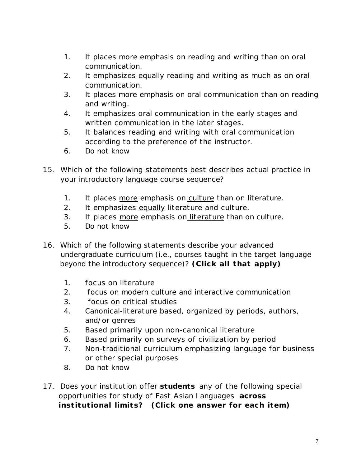- 1. It places more emphasis on reading and writing than on oral communication.
- 2. It emphasizes equally reading and writing as much as on oral communication.
- 3. It places more emphasis on oral communication than on reading and writing.
- 4. It emphasizes oral communication in the early stages and written communication in the later stages.
- 5. It balances reading and writing with oral communication according to the preference of the instructor.
- 6. Do not know
- 15. Which of the following statements best describes actual practice in your introductory language course sequence?
	- 1. It places more emphasis on culture than on literature.
	- 2. It emphasizes equally literature and culture.
	- 3. It places more emphasis on literature than on culture.
	- 5. Do not know
- 16. Which of the following statements describe your advanced undergraduate curriculum (i.e., courses taught in the target language beyond the introductory sequence)? *(Click all that apply)*
	- 1. focus on literature
	- 2. focus on modern culture and interactive communication
	- 3. focus on critical studies
	- 4. Canonical-literature based, organized by periods, authors, and/or genres
	- 5. Based primarily upon non-canonical literature
	- 6. Based primarily on surveys of civilization by period
	- 7. Non-traditional curriculum emphasizing language for business or other special purposes
	- 8. Do not know
- 17. Does your institution offer **students** any of the following special opportunities for study of East Asian Languages **across institutional limits?** *(Click one answer for each item)*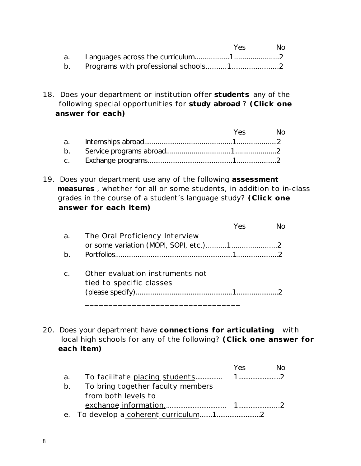|  | Yes | No. |
|--|-----|-----|
|  |     |     |
|  |     |     |

18. Does your department or institution offer **students** any of the following special opportunities for **study abroad** ? *(Click one answer for each)*

|    |  | Yes No |
|----|--|--------|
|    |  |        |
| b. |  |        |
|    |  |        |

19. Does your department use any of the following **assessment measures** , whether for all or some students, in addition to in-class grades in the course of a student's language study? *(Click one answer for each item)*

|       |                                                              | Yes |  |
|-------|--------------------------------------------------------------|-----|--|
| a.    | The Oral Proficiency Interview                               |     |  |
|       |                                                              |     |  |
| $b$ . |                                                              |     |  |
|       | Other evaluation instruments not<br>tied to specific classes |     |  |
|       |                                                              |     |  |

20. Does your department have **connections for articulating** with local high schools for any of the following? *(Click one answer for each item)*

|    |                                   | Yes | NΩ |
|----|-----------------------------------|-----|----|
|    |                                   |     |    |
| b. | To bring together faculty members |     |    |
|    | from both levels to               |     |    |
|    |                                   |     |    |
|    |                                   |     |    |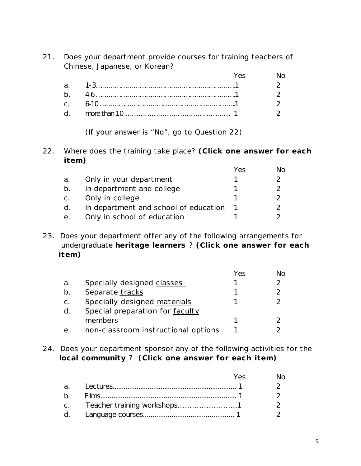21. Does your department provide courses for training teachers of Chinese, Japanese, or Korean? Yes No. 2012

|  | Yes and the second the second state of the second state in the second state in the second state in the second state in the second state in the second state in the second state in the second state in the second state in the |  |
|--|--------------------------------------------------------------------------------------------------------------------------------------------------------------------------------------------------------------------------------|--|
|  |                                                                                                                                                                                                                                |  |
|  |                                                                                                                                                                                                                                |  |
|  |                                                                                                                                                                                                                                |  |
|  |                                                                                                                                                                                                                                |  |

(If your answer is "No", go to Question 22)

22. Where does the training take place? *(Click one answer for each item)*

|    |                                       | Yes | No            |
|----|---------------------------------------|-----|---------------|
| а. | Only in your department               |     | 2             |
| b. | In department and college             |     |               |
| C. | Only in college                       |     |               |
| d. | In department and school of education |     | $\mathcal{P}$ |
| е. | Only in school of education           |     |               |

23. Does your department offer any of the following arrangements for undergraduate **heritage learners** ? *(Click one answer for each item)*

|    |                                     | Yes | Nο |
|----|-------------------------------------|-----|----|
| a. | Specially designed classes          |     |    |
| b. | Separate tracks                     |     |    |
| C. | Specially designed materials        |     |    |
| d. | Special preparation for faculty     |     |    |
|    | members                             |     |    |
|    | non-classroom instructional options |     |    |

24. Does your department sponsor any of the following activities for the **local community** ? *(Click one answer for each item)*

|  | Yes. | N٥ |
|--|------|----|
|  |      |    |
|  |      |    |
|  |      |    |
|  |      |    |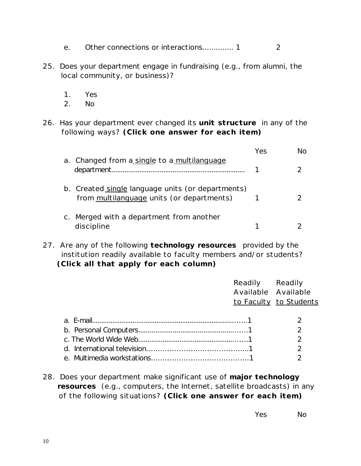- e. Other connections or interactions.............. 1 2
- 25. Does your department engage in fundraising (e.g., from alumni, the local community, or business)?
	- 1. Yes
	- 2. No
- 26. Has your department ever changed its **unit structure** in any of the following ways? *(Click one answer for each item)*

|                                                                                                | Yes |  |
|------------------------------------------------------------------------------------------------|-----|--|
| a. Changed from a single to a multilanguage                                                    |     |  |
| b. Created single language units (or departments)<br>from multilanguage units (or departments) |     |  |
| Merged with a department from another<br>discipline                                            |     |  |

27. Are any of the following **technology resources** provided by the institution readily available to faculty members and/or students? *(Click all that apply for each column)*

|  | Readily Readily     |                        |
|--|---------------------|------------------------|
|  | Available Available |                        |
|  |                     | to Faculty to Students |
|  |                     |                        |
|  |                     |                        |
|  |                     | 2                      |
|  |                     | 2                      |
|  |                     | $\mathcal{P}$          |
|  |                     | $\mathcal{D}$          |
|  |                     |                        |

28. Does your department make significant use of **major technology resources** (e.g., computers, the Internet, satellite broadcasts) in any of the following situations? *(Click one answer for each item)*

Yes No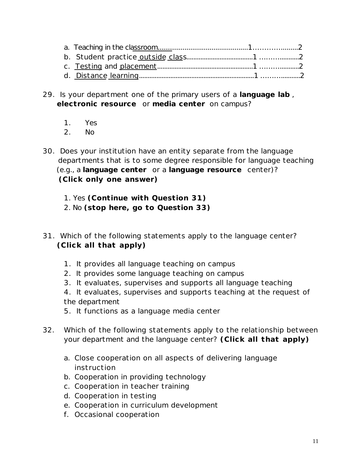- 29. Is your department one of the primary users of a **language lab** , **electronic resource** or **media center** on campus?
	- 1. Yes
	- 2. No
- 30. Does your institution have an entity separate from the language departments that is to some degree responsible for language teaching (e.g., a **language center** or a **language resource** center)? *(Click only one answer)*
	- 1. Yes *(Continue with Question 31)*
	- 2. No *(stop here, go to Question 33)*
- 31. Which of the following statements apply to the language center? *(Click all that apply)*
	- 1. It provides all language teaching on campus
	- 2. It provides some language teaching on campus
	- 3. It evaluates, supervises and supports all language teaching
	- 4. It evaluates, supervises and supports teaching at the request of the department
	- 5. It functions as a language media center
- 32. Which of the following statements apply to the relationship between your department and the language center? *(Click all that apply)*
	- a. Close cooperation on all aspects of delivering language instruction
	- b. Cooperation in providing technology
	- c. Cooperation in teacher training
	- d. Cooperation in testing
	- e. Cooperation in curriculum development
	- f. Occasional cooperation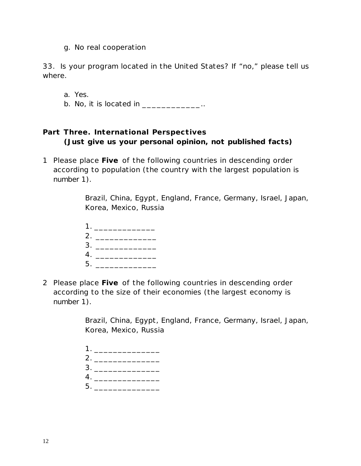g. No real cooperation

33. Is your program located in the United States? If "no," please tell us where.

a. Yes.

b. No, it is located in  $\ldots$ 

### *Part Three. International Perspectives* **(Just give us your personal opinion, not published facts)**

1 Please place **Five** of the following countries in descending order according to population (the country with the largest population is number 1).

> Brazil, China, Egypt, England, France, Germany, Israel, Japan, Korea, Mexico, Russia

| 1. |  |
|----|--|
| 2. |  |
| 3. |  |
| 4. |  |
| 5. |  |

2 Please place **Five** of the following countries in descending order according to the size of their economies (the largest economy is number 1).

> Brazil, China, Egypt, England, France, Germany, Israel, Japan, Korea, Mexico, Russia

| 4. |  |  |  |  |  |
|----|--|--|--|--|--|
|    |  |  |  |  |  |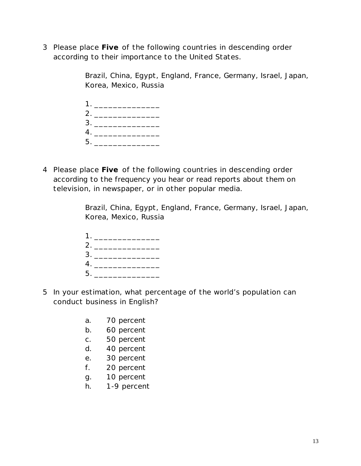3 Please place **Five** of the following countries in descending order according to their importance to the United States.

> Brazil, China, Egypt, England, France, Germany, Israel, Japan, Korea, Mexico, Russia

|    | 3. |  |  |  |
|----|----|--|--|--|
|    |    |  |  |  |
| 5. |    |  |  |  |

4 Please place **Five** of the following countries in descending order according to the frequency you hear or read reports about them on television, in newspaper, or in other popular media.

> Brazil, China, Egypt, England, France, Germany, Israel, Japan, Korea, Mexico, Russia

| 1. |    |  |  |  |  |  |
|----|----|--|--|--|--|--|
|    |    |  |  |  |  |  |
|    | 3. |  |  |  |  |  |
|    | 4. |  |  |  |  |  |
| 5. |    |  |  |  |  |  |

- 5 In your estimation, what percentage of the world's population can conduct business in English?
	- a. 70 percent
	- b. 60 percent
	- c. 50 percent
	- d. 40 percent
	- e. 30 percent
	- f. 20 percent
	- g. 10 percent
	- h. 1-9 percent